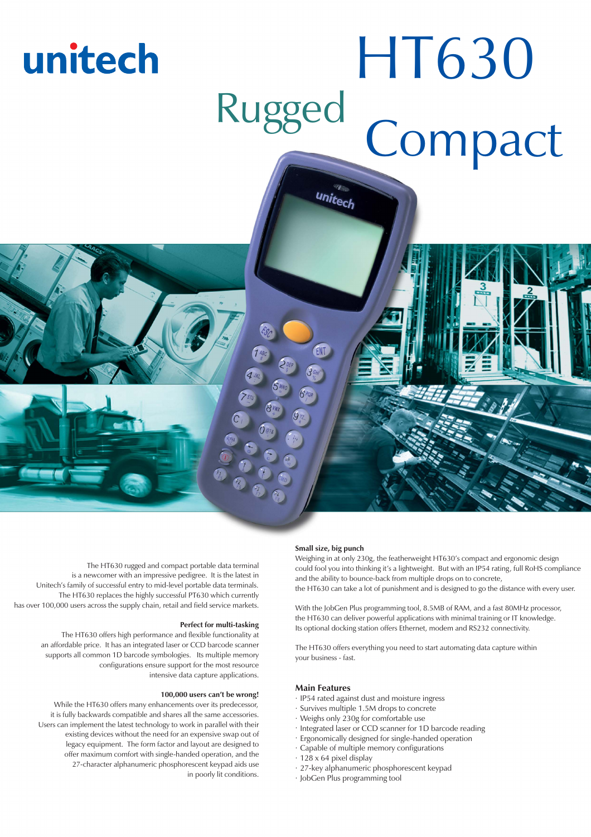

The HT630 rugged and compact portable data terminal is a newcomer with an impressive pedigree. It is the latest in Unitech's family of successful entry to mid-level portable data terminals. The HT630 replaces the highly successful PT630 which currently has over 100,000 users across the supply chain, retail and field service markets.

The HT630 offers high performance and flexible functionality at an affordable price. It has an integrated laser or CCD barcode scanner supports all common 1D barcode symbologies. Its multiple memory configurations ensure support for the most resource intensive data capture applications.

While the HT630 offers many enhancements over its predecessor, it is fully backwards compatible and shares all the same accessories. Users can implement the latest technology to work in parallel with their existing devices without the need for an expensive swap out of legacy equipment. The form factor and layout are designed to offer maximum comfort with single-handed operation, and the 27-character alphanumeric phosphorescent keypad aids use in poorly lit conditions.

weighing in at only 230g, the featherweight HT630's compact and ergonomic design could fool you into thinking it's a lightweight. But with an IP54 rating, full RoHS compliance and the ability to bounce-back from multiple drops on to concrete, the HT630 can take a lot of punishment and is designed to go the distance with every user.

With the JobGen Plus programming tool, 8.5MB of RAM, and a fast 80MHz processor, the HT630 can deliver powerful applications with minimal training or IT knowledge. Its optional docking station offers Ethernet, modem and RS232 connectivity.

The HT630 offers everything you need to start automating data capture within your business - fast.

- **Mark Features**<br> **Mark 1954** rated against dust and moisture ingress
- . Survives multiple 1.5M drops to concrete
- . Weighs only 230g for comfortable use
- . Integrated laser or CCD scanner for 1D barcode reading
- . Ergonomically designed for single-handed operation
- . Capable of multiple memory configurations
- . 128 x 64 pixel display
- . 27-key alphanumeric phosphorescent keypad
- . JobGen Plus programming tool